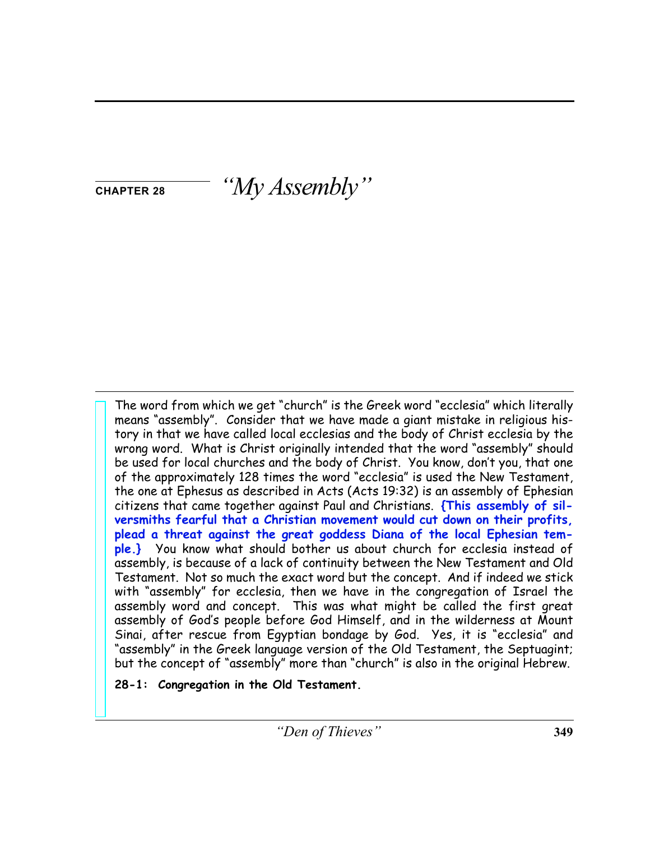**CHAPTER 28** *"My Assembly"*

The word from which we get "church" is the Greek word "ecclesia" which literally means "assembly". Consider that we have made a giant mistake in religious history in that we have called local ecclesias and the body of Christ ecclesia by the wrong word. What is Christ originally intended that the word "assembly" should be used for local churches and the body of Christ. You know, don't you, that one of the approximately 128 times the word "ecclesia" is used the New Testament, the one at Ephesus as described in Acts (Acts 19:32) is an assembly of Ephesian citizens that came together against Paul and Christians. **{This assembly of silversmiths fearful that a Christian movement would cut down on their profits, plead a threat against the great goddess Diana of the local Ephesian temple.}** You know what should bother us about church for ecclesia instead of assembly, is because of a lack of continuity between the New Testament and Old Testament. Not so much the exact word but the concept. And if indeed we stick with "assembly" for ecclesia, then we have in the congregation of Israel the assembly word and concept. This was what might be called the first great assembly of God's people before God Himself, and in the wilderness at Mount Sinai, after rescue from Egyptian bondage by God. Yes, it is "ecclesia" and "assembly" in the Greek language version of the Old Testament, the Septuagint; but the concept of "assembly" more than "church" is also in the original Hebrew.

**28-1: Congregation in the Old Testament.**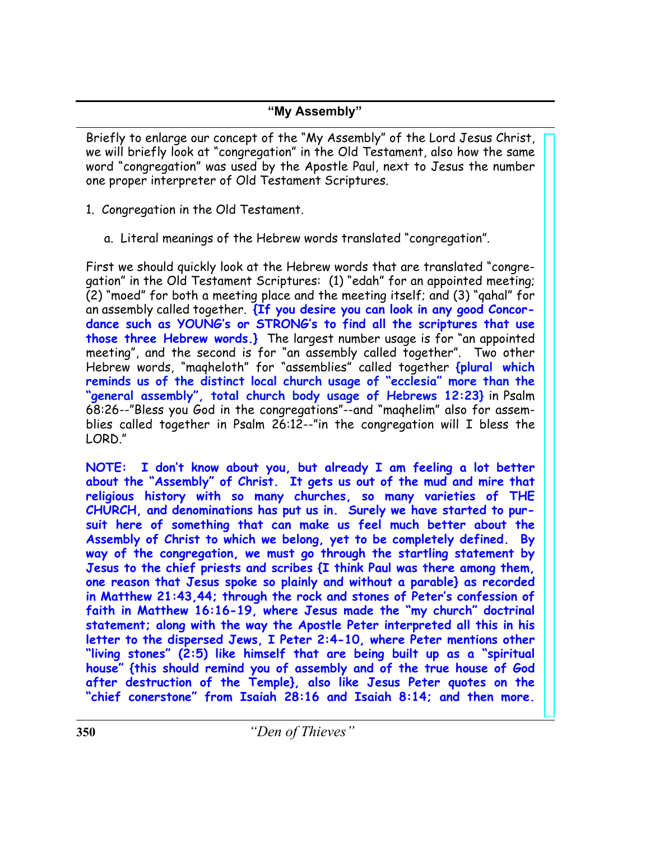Briefly to enlarge our concept of the "My Assembly" of the Lord Jesus Christ, we will briefly look at "congregation" in the Old Testament, also how the same word "congregation" was used by the Apostle Paul, next to Jesus the number one proper interpreter of Old Testament Scriptures.

- 1. Congregation in the Old Testament.
	- a. Literal meanings of the Hebrew words translated "congregation".

First we should quickly look at the Hebrew words that are translated "congregation" in the Old Testament Scriptures: (1) "edah" for an appointed meeting; (2) "moed" for both a meeting place and the meeting itself; and (3) "qahal" for an assembly called together. **{If you desire you can look in any good Concordance such as YOUNG's or STRONG's to find all the scriptures that use those three Hebrew words.}** The largest number usage is for "an appointed meeting", and the second is for "an assembly called together". Two other Hebrew words, "maqheloth" for "assemblies" called together **{plural which reminds us of the distinct local church usage of "ecclesia" more than the "general assembly", total church body usage of Hebrews 12:23}** in Psalm 68:26--"Bless you God in the congregations"--and "maqhelim" also for assemblies called together in Psalm 26:12--"in the congregation will I bless the LORD."

**NOTE: I don't know about you, but already I am feeling a lot better about the "Assembly" of Christ. It gets us out of the mud and mire that religious history with so many churches, so many varieties of THE CHURCH, and denominations has put us in. Surely we have started to pursuit here of something that can make us feel much better about the Assembly of Christ to which we belong, yet to be completely defined. By way of the congregation, we must go through the startling statement by Jesus to the chief priests and scribes {I think Paul was there among them, one reason that Jesus spoke so plainly and without a parable} as recorded in Matthew 21:43,44; through the rock and stones of Peter's confession of faith in Matthew 16:16-19, where Jesus made the "my church" doctrinal statement; along with the way the Apostle Peter interpreted all this in his letter to the dispersed Jews, I Peter 2:4-10, where Peter mentions other "living stones" (2:5) like himself that are being built up as a "spiritual house" {this should remind you of assembly and of the true house of God after destruction of the Temple}, also like Jesus Peter quotes on the "chief conerstone" from Isaiah 28:16 and Isaiah 8:14; and then more.**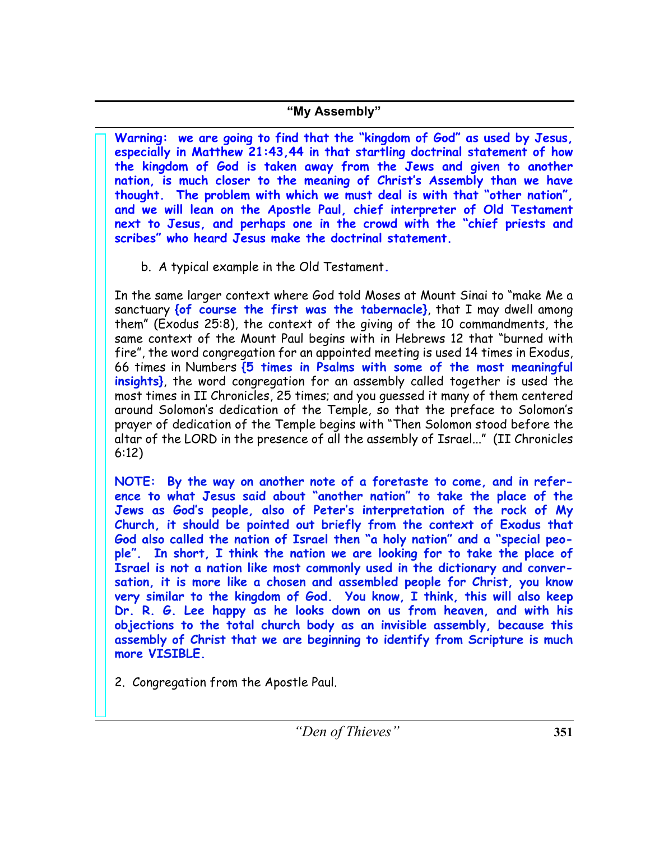**Warning: we are going to find that the "kingdom of God" as used by Jesus, especially in Matthew 21:43,44 in that startling doctrinal statement of how the kingdom of God is taken away from the Jews and given to another nation, is much closer to the meaning of Christ's Assembly than we have thought. The problem with which we must deal is with that "other nation", and we will lean on the Apostle Paul, chief interpreter of Old Testament next to Jesus, and perhaps one in the crowd with the "chief priests and scribes" who heard Jesus make the doctrinal statement.**

b. A typical example in the Old Testament**.**

In the same larger context where God told Moses at Mount Sinai to "make Me a sanctuary **{of course the first was the tabernacle}**, that I may dwell among them" (Exodus 25:8), the context of the giving of the 10 commandments, the same context of the Mount Paul begins with in Hebrews 12 that "burned with fire", the word congregation for an appointed meeting is used 14 times in Exodus, 66 times in Numbers **{5 times in Psalms with some of the most meaningful insights}**, the word congregation for an assembly called together is used the most times in II Chronicles, 25 times; and you guessed it many of them centered around Solomon's dedication of the Temple, so that the preface to Solomon's prayer of dedication of the Temple begins with "Then Solomon stood before the altar of the LORD in the presence of all the assembly of Israel..." (II Chronicles 6:12)

**NOTE: By the way on another note of a foretaste to come, and in reference to what Jesus said about "another nation" to take the place of the Jews as God's people, also of Peter's interpretation of the rock of My Church, it should be pointed out briefly from the context of Exodus that God also called the nation of Israel then "a holy nation" and a "special people". In short, I think the nation we are looking for to take the place of Israel is not a nation like most commonly used in the dictionary and conversation, it is more like a chosen and assembled people for Christ, you know very similar to the kingdom of God. You know, I think, this will also keep Dr. R. G. Lee happy as he looks down on us from heaven, and with his objections to the total church body as an invisible assembly, because this assembly of Christ that we are beginning to identify from Scripture is much more VISIBLE.**

2. Congregation from the Apostle Paul.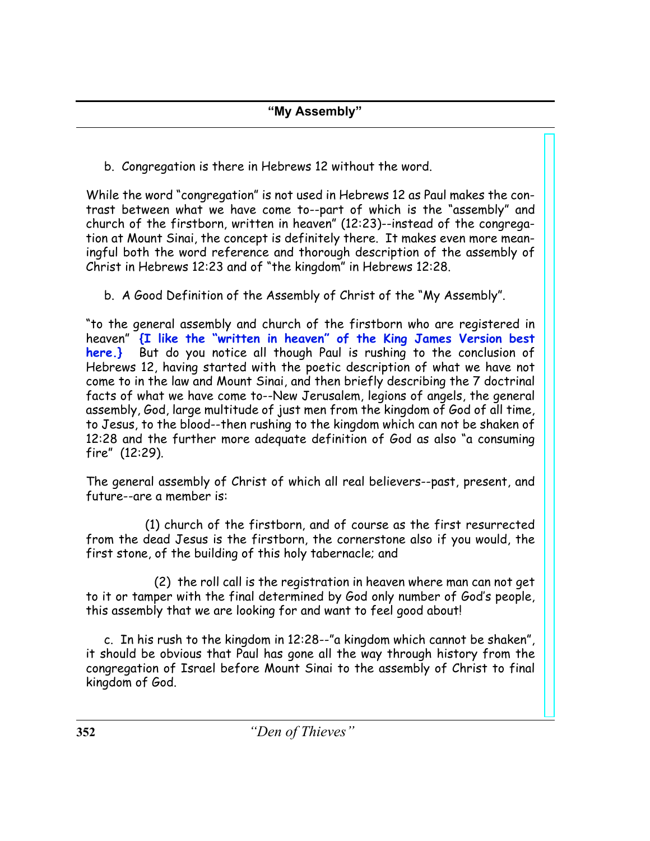b. Congregation is there in Hebrews 12 without the word.

While the word "congregation" is not used in Hebrews 12 as Paul makes the contrast between what we have come to--part of which is the "assembly" and church of the firstborn, written in heaven" (12:23)--instead of the congregation at Mount Sinai, the concept is definitely there. It makes even more meaningful both the word reference and thorough description of the assembly of Christ in Hebrews 12:23 and of "the kingdom" in Hebrews 12:28.

b. A Good Definition of the Assembly of Christ of the "My Assembly".

"to the general assembly and church of the firstborn who are registered in heaven" **{I like the "written in heaven" of the King James Version best here.}** But do you notice all though Paul is rushing to the conclusion of Hebrews 12, having started with the poetic description of what we have not come to in the law and Mount Sinai, and then briefly describing the 7 doctrinal facts of what we have come to--New Jerusalem, legions of angels, the general assembly, God, large multitude of just men from the kingdom of God of all time, to Jesus, to the blood--then rushing to the kingdom which can not be shaken of 12:28 and the further more adequate definition of God as also "a consuming fire" (12:29).

The general assembly of Christ of which all real believers--past, present, and future--are a member is:

 (1) church of the firstborn, and of course as the first resurrected from the dead Jesus is the firstborn, the cornerstone also if you would, the first stone, of the building of this holy tabernacle; and

 (2) the roll call is the registration in heaven where man can not get to it or tamper with the final determined by God only number of God's people, this assembly that we are looking for and want to feel good about!

 c. In his rush to the kingdom in 12:28--"a kingdom which cannot be shaken", it should be obvious that Paul has gone all the way through history from the congregation of Israel before Mount Sinai to the assembly of Christ to final kingdom of God.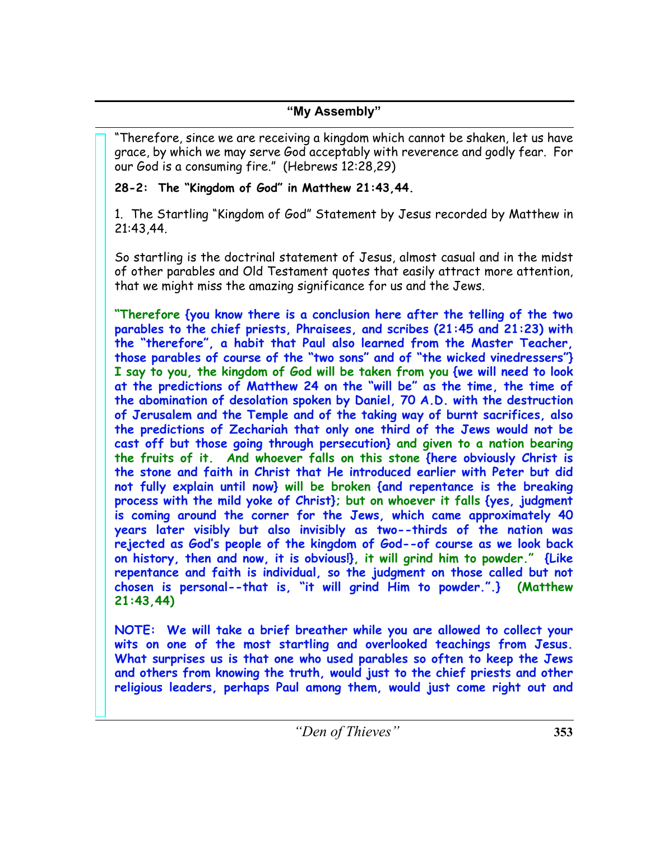"Therefore, since we are receiving a kingdom which cannot be shaken, let us have grace, by which we may serve God acceptably with reverence and godly fear. For our God is a consuming fire." (Hebrews 12:28,29)

# **28-2: The "Kingdom of God" in Matthew 21:43,44.**

1. The Startling "Kingdom of God" Statement by Jesus recorded by Matthew in 21:43,44.

So startling is the doctrinal statement of Jesus, almost casual and in the midst of other parables and Old Testament quotes that easily attract more attention, that we might miss the amazing significance for us and the Jews.

**"Therefore {you know there is a conclusion here after the telling of the two parables to the chief priests, Phraisees, and scribes (21:45 and 21:23) with the "therefore", a habit that Paul also learned from the Master Teacher, those parables of course of the "two sons" and of "the wicked vinedressers"} I say to you, the kingdom of God will be taken from you {we will need to look at the predictions of Matthew 24 on the "will be" as the time, the time of the abomination of desolation spoken by Daniel, 70 A.D. with the destruction of Jerusalem and the Temple and of the taking way of burnt sacrifices, also the predictions of Zechariah that only one third of the Jews would not be cast off but those going through persecution} and given to a nation bearing the fruits of it. And whoever falls on this stone {here obviously Christ is the stone and faith in Christ that He introduced earlier with Peter but did not fully explain until now} will be broken {and repentance is the breaking process with the mild yoke of Christ}; but on whoever it falls {yes, judgment is coming around the corner for the Jews, which came approximately 40 years later visibly but also invisibly as two--thirds of the nation was rejected as God's people of the kingdom of God--of course as we look back on history, then and now, it is obvious!}, it will grind him to powder." {Like repentance and faith is individual, so the judgment on those called but not chosen is personal--that is, "it will grind Him to powder.".} (Matthew 21:43,44)**

**NOTE: We will take a brief breather while you are allowed to collect your wits on one of the most startling and overlooked teachings from Jesus. What surprises us is that one who used parables so often to keep the Jews and others from knowing the truth, would just to the chief priests and other religious leaders, perhaps Paul among them, would just come right out and**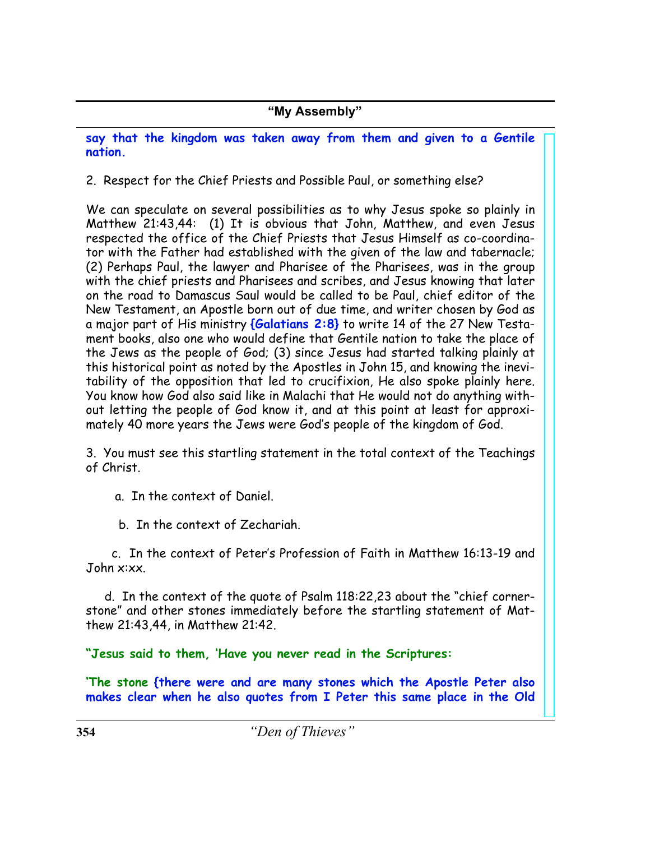**say that the kingdom was taken away from them and given to a Gentile nation.**

2. Respect for the Chief Priests and Possible Paul, or something else?

We can speculate on several possibilities as to why Jesus spoke so plainly in Matthew 21:43,44: (1) It is obvious that John, Matthew, and even Jesus respected the office of the Chief Priests that Jesus Himself as co-coordinator with the Father had established with the given of the law and tabernacle; (2) Perhaps Paul, the lawyer and Pharisee of the Pharisees, was in the group with the chief priests and Pharisees and scribes, and Jesus knowing that later on the road to Damascus Saul would be called to be Paul, chief editor of the New Testament, an Apostle born out of due time, and writer chosen by God as a major part of His ministry **{Galatians 2:8}** to write 14 of the 27 New Testament books, also one who would define that Gentile nation to take the place of the Jews as the people of God; (3) since Jesus had started talking plainly at this historical point as noted by the Apostles in John 15, and knowing the inevitability of the opposition that led to crucifixion, He also spoke plainly here. You know how God also said like in Malachi that He would not do anything without letting the people of God know it, and at this point at least for approximately 40 more years the Jews were God's people of the kingdom of God.

3. You must see this startling statement in the total context of the Teachings of Christ.

a. In the context of Daniel.

b. In the context of Zechariah.

 c. In the context of Peter's Profession of Faith in Matthew 16:13-19 and John x:xx.

 d. In the context of the quote of Psalm 118:22,23 about the "chief cornerstone" and other stones immediately before the startling statement of Matthew 21:43,44, in Matthew 21:42.

**"Jesus said to them, 'Have you never read in the Scriptures:**

**'The stone {there were and are many stones which the Apostle Peter also makes clear when he also quotes from I Peter this same place in the Old**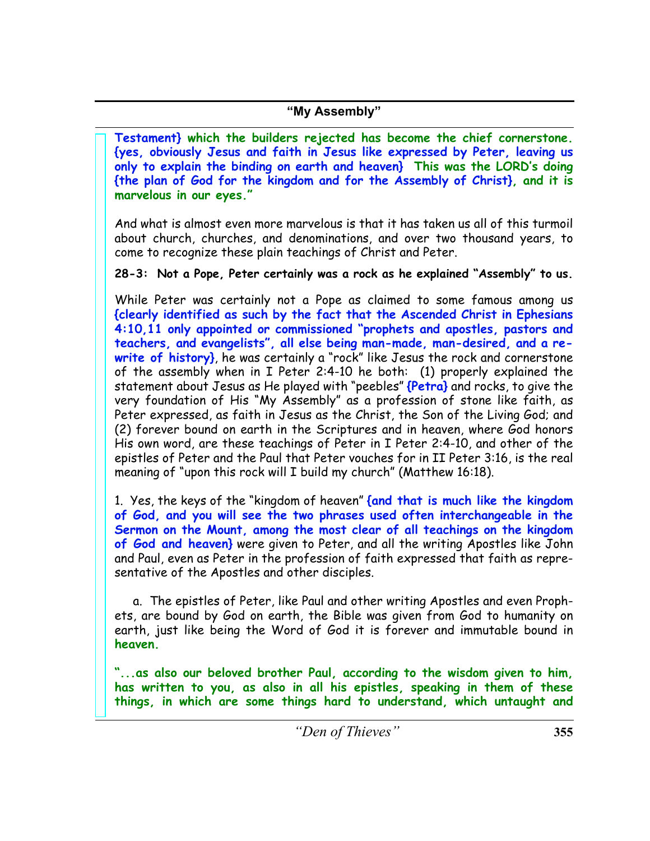**Testament} which the builders rejected has become the chief cornerstone. {yes, obviously Jesus and faith in Jesus like expressed by Peter, leaving us only to explain the binding on earth and heaven} This was the LORD's doing {the plan of God for the kingdom and for the Assembly of Christ}, and it is marvelous in our eyes."**

And what is almost even more marvelous is that it has taken us all of this turmoil about church, churches, and denominations, and over two thousand years, to come to recognize these plain teachings of Christ and Peter.

**28-3: Not a Pope, Peter certainly was a rock as he explained "Assembly" to us.**

While Peter was certainly not a Pope as claimed to some famous among us **{clearly identified as such by the fact that the Ascended Christ in Ephesians 4:10,11 only appointed or commissioned "prophets and apostles, pastors and teachers, and evangelists", all else being man-made, man-desired, and a rewrite of history}**, he was certainly a "rock" like Jesus the rock and cornerstone of the assembly when in I Peter 2:4-10 he both: (1) properly explained the statement about Jesus as He played with "peebles" **{Petra}** and rocks, to give the very foundation of His "My Assembly" as a profession of stone like faith, as Peter expressed, as faith in Jesus as the Christ, the Son of the Living God; and (2) forever bound on earth in the Scriptures and in heaven, where God honors His own word, are these teachings of Peter in I Peter 2:4-10, and other of the epistles of Peter and the Paul that Peter vouches for in II Peter 3:16, is the real meaning of "upon this rock will I build my church" (Matthew 16:18).

1. Yes, the keys of the "kingdom of heaven" **{and that is much like the kingdom of God, and you will see the two phrases used often interchangeable in the Sermon on the Mount, among the most clear of all teachings on the kingdom of God and heaven}** were given to Peter, and all the writing Apostles like John and Paul, even as Peter in the profession of faith expressed that faith as representative of the Apostles and other disciples.

 a. The epistles of Peter, like Paul and other writing Apostles and even Prophets, are bound by God on earth, the Bible was given from God to humanity on earth, just like being the Word of God it is forever and immutable bound in **heaven.**

**"...as also our beloved brother Paul, according to the wisdom given to him, has written to you, as also in all his epistles, speaking in them of these things, in which are some things hard to understand, which untaught and**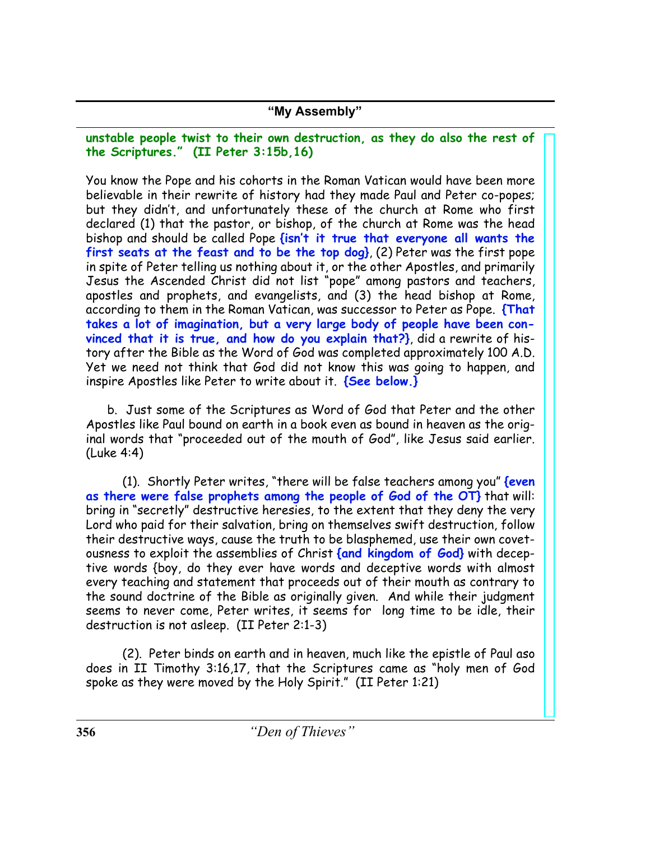**unstable people twist to their own destruction, as they do also the rest of the Scriptures." (II Peter 3:15b,16)**

You know the Pope and his cohorts in the Roman Vatican would have been more believable in their rewrite of history had they made Paul and Peter co-popes; but they didn't, and unfortunately these of the church at Rome who first declared (1) that the pastor, or bishop, of the church at Rome was the head bishop and should be called Pope **{isn't it true that everyone all wants the first seats at the feast and to be the top dog}**, (2) Peter was the first pope in spite of Peter telling us nothing about it, or the other Apostles, and primarily Jesus the Ascended Christ did not list "pope" among pastors and teachers, apostles and prophets, and evangelists, and (3) the head bishop at Rome, according to them in the Roman Vatican, was successor to Peter as Pope. **{That takes a lot of imagination, but a very large body of people have been convinced that it is true, and how do you explain that?}**, did a rewrite of history after the Bible as the Word of God was completed approximately 100 A.D. Yet we need not think that God did not know this was going to happen, and inspire Apostles like Peter to write about it. **{See below.}**

 b. Just some of the Scriptures as Word of God that Peter and the other Apostles like Paul bound on earth in a book even as bound in heaven as the original words that "proceeded out of the mouth of God", like Jesus said earlier. (Luke 4:4)

 (1). Shortly Peter writes, "there will be false teachers among you" **{even as there were false prophets among the people of God of the OT}** that will: bring in "secretly" destructive heresies, to the extent that they deny the very Lord who paid for their salvation, bring on themselves swift destruction, follow their destructive ways, cause the truth to be blasphemed, use their own covetousness to exploit the assemblies of Christ **{and kingdom of God}** with deceptive words {boy, do they ever have words and deceptive words with almost every teaching and statement that proceeds out of their mouth as contrary to the sound doctrine of the Bible as originally given. And while their judgment seems to never come, Peter writes, it seems for long time to be idle, their destruction is not asleep. (II Peter 2:1-3)

 (2). Peter binds on earth and in heaven, much like the epistle of Paul aso does in II Timothy 3:16,17, that the Scriptures came as "holy men of God spoke as they were moved by the Holy Spirit." (II Peter 1:21)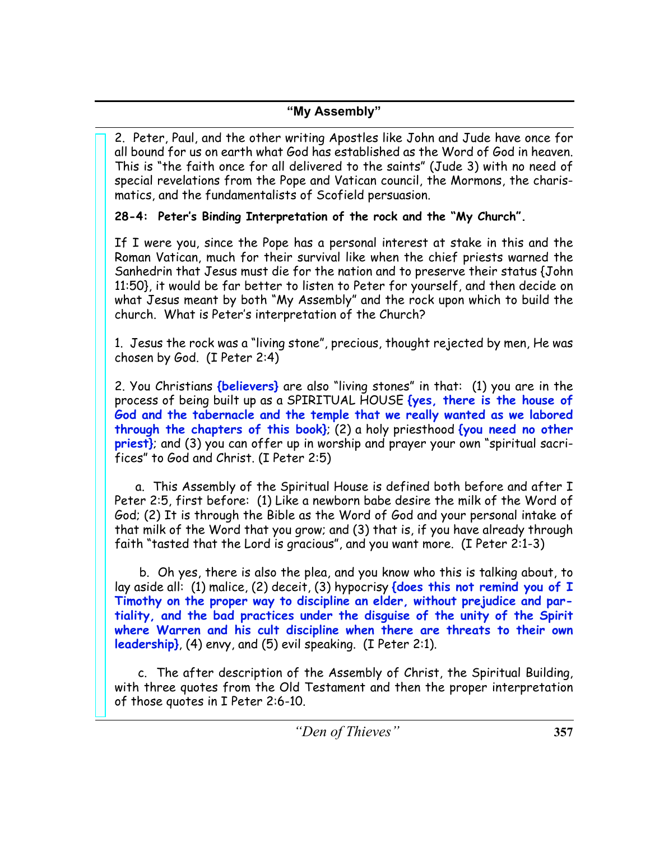2. Peter, Paul, and the other writing Apostles like John and Jude have once for all bound for us on earth what God has established as the Word of God in heaven. This is "the faith once for all delivered to the saints" (Jude 3) with no need of special revelations from the Pope and Vatican council, the Mormons, the charismatics, and the fundamentalists of Scofield persuasion.

# **28-4: Peter's Binding Interpretation of the rock and the "My Church".**

If I were you, since the Pope has a personal interest at stake in this and the Roman Vatican, much for their survival like when the chief priests warned the Sanhedrin that Jesus must die for the nation and to preserve their status {John 11:50}, it would be far better to listen to Peter for yourself, and then decide on what Jesus meant by both "My Assembly" and the rock upon which to build the church. What is Peter's interpretation of the Church?

1. Jesus the rock was a "living stone", precious, thought rejected by men, He was chosen by God. (I Peter 2:4)

2. You Christians **{believers}** are also "living stones" in that: (1) you are in the process of being built up as a SPIRITUAL HOUSE **{yes, there is the house of God and the tabernacle and the temple that we really wanted as we labored through the chapters of this book}**; (2) a holy priesthood **{you need no other priest}**; and (3) you can offer up in worship and prayer your own "spiritual sacrifices" to God and Christ. (I Peter 2:5)

 a. This Assembly of the Spiritual House is defined both before and after I Peter 2:5, first before: (1) Like a newborn babe desire the milk of the Word of God; (2) It is through the Bible as the Word of God and your personal intake of that milk of the Word that you grow; and (3) that is, if you have already through faith "tasted that the Lord is gracious", and you want more. (I Peter 2:1-3)

 b. Oh yes, there is also the plea, and you know who this is talking about, to lay aside all: (1) malice, (2) deceit, (3) hypocrisy **{does this not remind you of I Timothy on the proper way to discipline an elder, without prejudice and partiality, and the bad practices under the disguise of the unity of the Spirit where Warren and his cult discipline when there are threats to their own leadership}**, (4) envy, and (5) evil speaking. (I Peter 2:1).

 c. The after description of the Assembly of Christ, the Spiritual Building, with three quotes from the Old Testament and then the proper interpretation of those quotes in I Peter 2:6-10.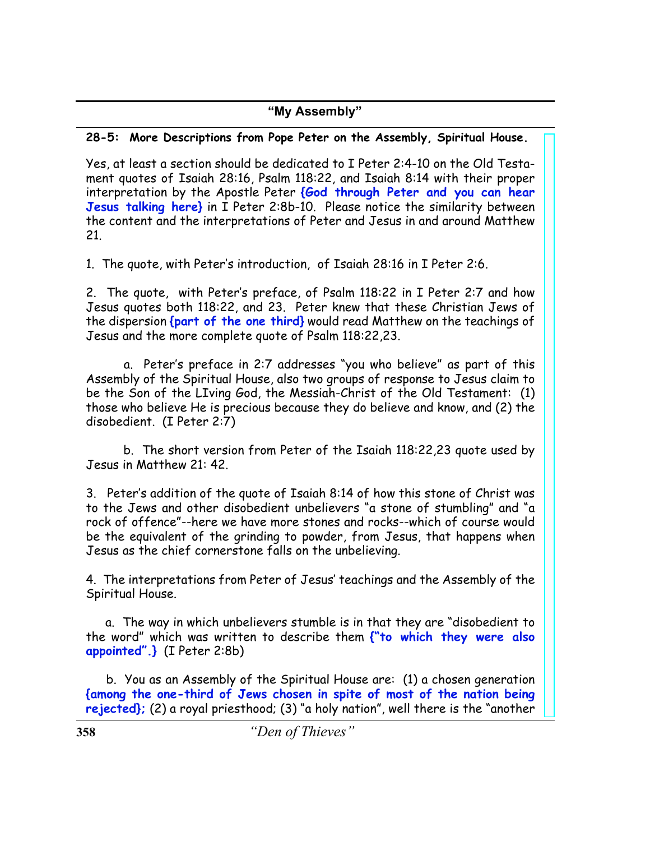#### **28-5: More Descriptions from Pope Peter on the Assembly, Spiritual House.**

Yes, at least a section should be dedicated to I Peter 2:4-10 on the Old Testament quotes of Isaiah 28:16, Psalm 118:22, and Isaiah 8:14 with their proper interpretation by the Apostle Peter **{God through Peter and you can hear Jesus talking here}** in I Peter 2:8b-10. Please notice the similarity between the content and the interpretations of Peter and Jesus in and around Matthew 21.

1. The quote, with Peter's introduction, of Isaiah 28:16 in I Peter 2:6.

2. The quote, with Peter's preface, of Psalm 118:22 in I Peter 2:7 and how Jesus quotes both 118:22, and 23. Peter knew that these Christian Jews of the dispersion **{part of the one third}** would read Matthew on the teachings of Jesus and the more complete quote of Psalm 118:22,23.

 a. Peter's preface in 2:7 addresses "you who believe" as part of this Assembly of the Spiritual House, also two groups of response to Jesus claim to be the Son of the LIving God, the Messiah-Christ of the Old Testament: (1) those who believe He is precious because they do believe and know, and (2) the disobedient. (I Peter 2:7)

 b. The short version from Peter of the Isaiah 118:22,23 quote used by Jesus in Matthew 21: 42.

3. Peter's addition of the quote of Isaiah 8:14 of how this stone of Christ was to the Jews and other disobedient unbelievers "a stone of stumbling" and "a rock of offence"--here we have more stones and rocks--which of course would be the equivalent of the grinding to powder, from Jesus, that happens when Jesus as the chief cornerstone falls on the unbelieving.

4. The interpretations from Peter of Jesus' teachings and the Assembly of the Spiritual House.

 a. The way in which unbelievers stumble is in that they are "disobedient to the word" which was written to describe them **{"to which they were also appointed".}** (I Peter 2:8b)

 b. You as an Assembly of the Spiritual House are: (1) a chosen generation **{among the one-third of Jews chosen in spite of most of the nation being rejected};** (2) a royal priesthood; (3) "a holy nation", well there is the "another